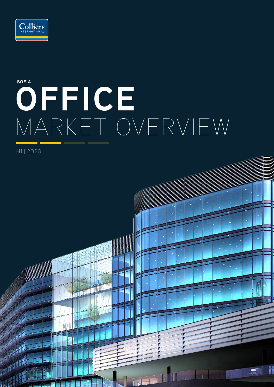

# **OFFICE** MARKET OVERVIEW **SOFIA**

医腺管

H1 | 2020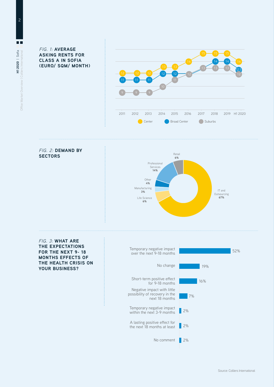FIG. 1: **AVERAGE ASKING RENTS FOR CLASS A IN SOFIA (EURO/ SQM/ MONTH)** 





FIG. 3: **WHAT ARE THE EXPECTATIONS FOR THE NEXT 9- 18 MONTHS EFFECTS OF THE HEALTH CRISIS ON YOUR BUSINESS?**

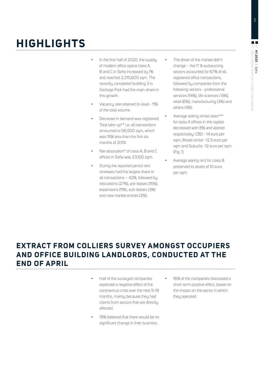# **HIGHLIGHTS**

- In the first half of 2020, the supply of modern office space class A, B and C in Sofia increased by 1% and reached 2,315,600 sqm. The recently completed building 3 in Garitage Park had the main share in this growth.
- Vacancy rate retained its level 11% of the total volume.
- Decrease in demand was registered. Total take-up\*\* i.e. all transactions amounted to 56,500 sqm, which was 15% less than the first six months of 2019.
- Net absorption\* of class A, B and C offices in Sofia was 23,100 sqm.
- During the reported period rent renewals had the largest share in all transactions – 42%, followed by relocations (27%), pre-leases (15%), expansions (11%), sub-leases (3%) and new market entries (2%).
- The driver of the market didn't change – the IT & outsourcing sectors accounted for 67% of all registered office transactions, followed by companies from the following sectors - professional services (14%), life sciences ( 6%), retail (6%), manufacturing (3%) and others (4%).
- Average asking rental rates\*\*\* for class A offices in the capital decreased with 8% and altered respectively: CBD - 14 euro per sqm, Broad center -12.5 euro per sqm and Suburbs -12 euro per sqm. (Fig. 1)
	- Average asking rent for class B preserved its levels of 10 euro per sqm.

#### **EXTRACT FROM COLLIERS SURVEY AMONGST OCCUPIERS AND OFFICE BUILDING LANDLORDS, CONDUCTED AT THE END OF APRIL**

- Half of the surveyed companies expected a negative effect of the coronavirus crisis over the next 9-18 months, mainly because they had clients from sectors that are directly affected.
- 19% believed that there would be no significant change in their business.
- 16% of the companies forecasted a short-term positive effect, based on the impact on the sector in which they operated.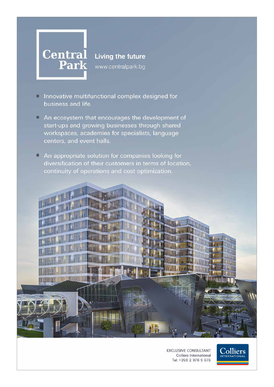

www.centralpark.bg

- Innovative multifunctional complex designed for п. business and life.
- An ecosystem that encourages the development of start-ups and growing businesses through shared workspaces, academies for specialists, language centers, and event halls.
- An appropriate solution for companies looking for о diversification of their customers in terms of location, continuity of operations and cost optimization.



**EXCLUSIVE CONSULTANT** Colliers International Tel: +359 2 976 9 976

Colliers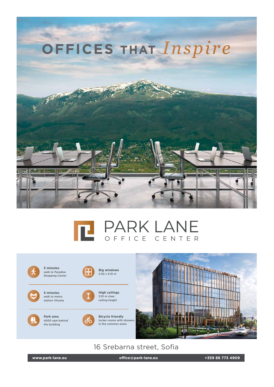





16 Srebarna street, Sofia

**www.park-lane.eu office@park-lane.eu +359 88 773 4909**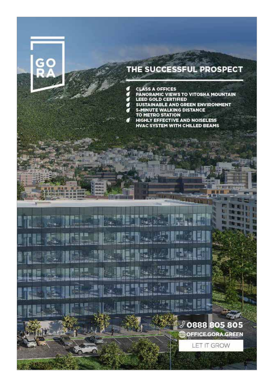### THE SUCCESSFUL PROSPECT

g **CLASS A OFFICES** 

ч

**PANORAMIC VIEWS TO VITOSHA MOUNTAIN<br>LEED GOLD CERTIFIED** 

0888 805 805

**OFFICE GORA GREEN** 

**LET IT GROW** 

- 
- SUSTAINABLE AND GREEN ENVIRONMENT
- **5-MINUTE WALKING DISTANCE** TO METRO STATION
- HIGHLY EFFECTIVE AND NOISELESS 71 **HVAC SYSTEM WITH CHILLED BEAMS**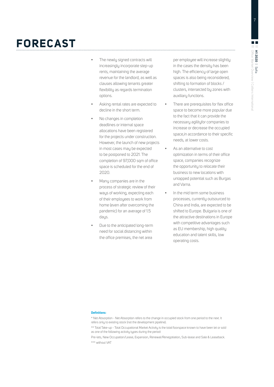## **FORECAST**

- The newly signed contracts will increasingly incorporate step-up rents, maintaining the average revenue for the landlord, as well as clauses allowing tenants greater flexibility as regards termination options.
- Asking rental rates are expected to decline in the short term.
- No changes in completion deadlines or internal space allocations have been registered for the projects under construction. However, the launch of new projects in most cases may be expected to be postponed to 2021. The completion of 97,000 sqm of office space is scheduled for the end of 2020.
- Many companies are in the process of strategic review of their ways of working, expecting each of their employees to work from home (even after overcoming the pandemic) for an average of 1.5 days.
- Due to the anticipated long-term need for social distancing within the office premises, the net area

per employee will increase slightly in the cases the density has been high. The efficiency of large open spaces is also being reconsidered, shifting to formation of blocks / clusters, intersected by zones with auxiliary functions.

- There are prerequisites for flex office space to become more popular due to the fact that it can provide the necessary agilityfor companies to increase or decrease the occupied space,in accordance to their specific needs, at lower costs.
- As an alternative to cost optimization in terms of their office space, companies recognize the opportunity to relocate their business to new locations with untapped potential such as Burgas and Varna.
- In the mid term some business processes, currently outsourced to China and India, are expected to be shifted to Europe. Bulgaria is one of the attractive destinations in Europe with competitive advantages such as EU membership, high quality education and talent skills, low operating costs.

#### **Definitions:**

\* Net Absorption - Net Absorption refers to the change in occupied stock from one period to the next. It refers only to existing stock (not the development pipeline).

\*\* Total Take-up - Total Occupational Market Activity is the total floorspace known to have been let or sold as one of the following activity types during the period:

Pre-lets, New Occupation/Lease, Expansion, Renewal/Renegotiation, Sub-lease and Sale & Leaseback. \*\*\* without VAT